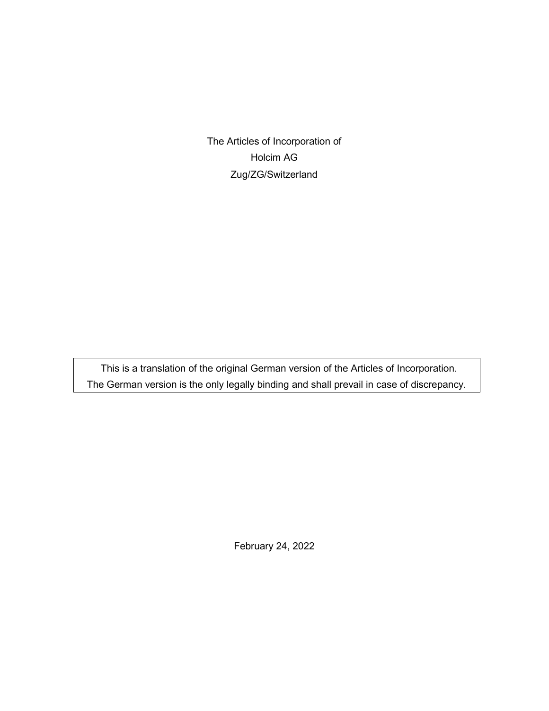The Articles of Incorporation of Holcim AG Zug/ZG/Switzerland

This is a translation of the original German version of the Articles of Incorporation. The German version is the only legally binding and shall prevail in case of discrepancy.

February 24, 2022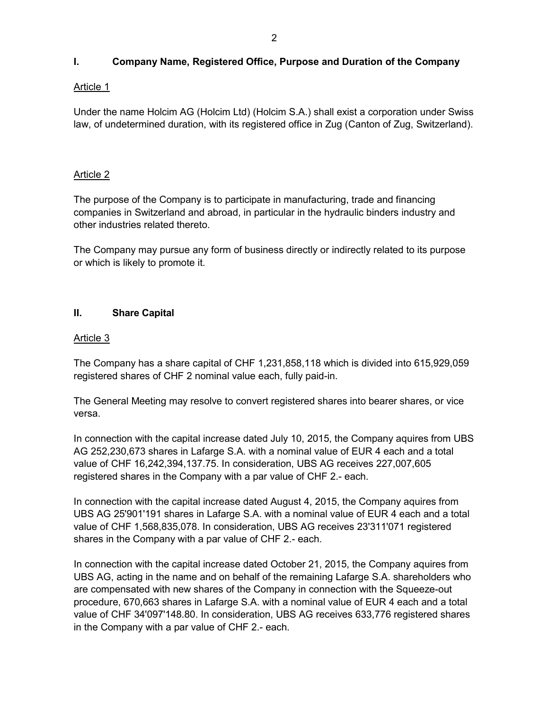# **I. Company Name, Registered Office, Purpose and Duration of the Company**

# Article 1

Under the name Holcim AG (Holcim Ltd) (Holcim S.A.) shall exist a corporation under Swiss law, of undetermined duration, with its registered office in Zug (Canton of Zug, Switzerland).

# Article 2

The purpose of the Company is to participate in manufacturing, trade and financing companies in Switzerland and abroad, in particular in the hydraulic binders industry and other industries related thereto.

The Company may pursue any form of business directly or indirectly related to its purpose or which is likely to promote it.

# **II. Share Capital**

# Article 3

The Company has a share capital of CHF 1,231,858,118 which is divided into 615,929,059 registered shares of CHF 2 nominal value each, fully paid-in.

The General Meeting may resolve to convert registered shares into bearer shares, or vice versa.

In connection with the capital increase dated July 10, 2015, the Company aquires from UBS AG 252,230,673 shares in Lafarge S.A. with a nominal value of EUR 4 each and a total value of CHF 16,242,394,137.75. In consideration, UBS AG receives 227,007,605 registered shares in the Company with a par value of CHF 2.- each.

In connection with the capital increase dated August 4, 2015, the Company aquires from UBS AG 25'901'191 shares in Lafarge S.A. with a nominal value of EUR 4 each and a total value of CHF 1,568,835,078. In consideration, UBS AG receives 23'311'071 registered shares in the Company with a par value of CHF 2.- each.

In connection with the capital increase dated October 21, 2015, the Company aquires from UBS AG, acting in the name and on behalf of the remaining Lafarge S.A. shareholders who are compensated with new shares of the Company in connection with the Squeeze-out procedure, 670,663 shares in Lafarge S.A. with a nominal value of EUR 4 each and a total value of CHF 34'097'148.80. In consideration, UBS AG receives 633,776 registered shares in the Company with a par value of CHF 2.- each.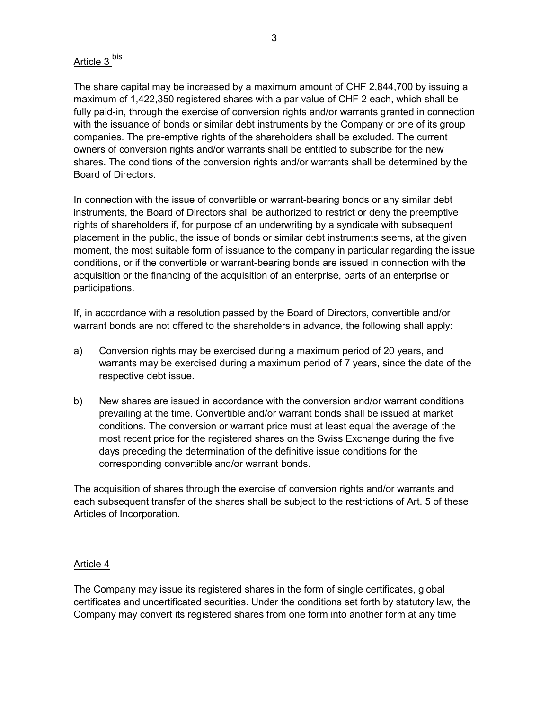# Article 3<sup>bis</sup>

The share capital may be increased by a maximum amount of CHF 2,844,700 by issuing a maximum of 1,422,350 registered shares with a par value of CHF 2 each, which shall be fully paid-in, through the exercise of conversion rights and/or warrants granted in connection with the issuance of bonds or similar debt instruments by the Company or one of its group companies. The pre-emptive rights of the shareholders shall be excluded. The current owners of conversion rights and/or warrants shall be entitled to subscribe for the new shares. The conditions of the conversion rights and/or warrants shall be determined by the Board of Directors.

In connection with the issue of convertible or warrant-bearing bonds or any similar debt instruments, the Board of Directors shall be authorized to restrict or deny the preemptive rights of shareholders if, for purpose of an underwriting by a syndicate with subsequent placement in the public, the issue of bonds or similar debt instruments seems, at the given moment, the most suitable form of issuance to the company in particular regarding the issue conditions, or if the convertible or warrant-bearing bonds are issued in connection with the acquisition or the financing of the acquisition of an enterprise, parts of an enterprise or participations.

If, in accordance with a resolution passed by the Board of Directors, convertible and/or warrant bonds are not offered to the shareholders in advance, the following shall apply:

- a) Conversion rights may be exercised during a maximum period of 20 years, and warrants may be exercised during a maximum period of 7 years, since the date of the respective debt issue.
- b) New shares are issued in accordance with the conversion and/or warrant conditions prevailing at the time. Convertible and/or warrant bonds shall be issued at market conditions. The conversion or warrant price must at least equal the average of the most recent price for the registered shares on the Swiss Exchange during the five days preceding the determination of the definitive issue conditions for the corresponding convertible and/or warrant bonds.

The acquisition of shares through the exercise of conversion rights and/or warrants and each subsequent transfer of the shares shall be subject to the restrictions of Art. 5 of these Articles of Incorporation.

# Article 4

The Company may issue its registered shares in the form of single certificates, global certificates and uncertificated securities. Under the conditions set forth by statutory law, the Company may convert its registered shares from one form into another form at any time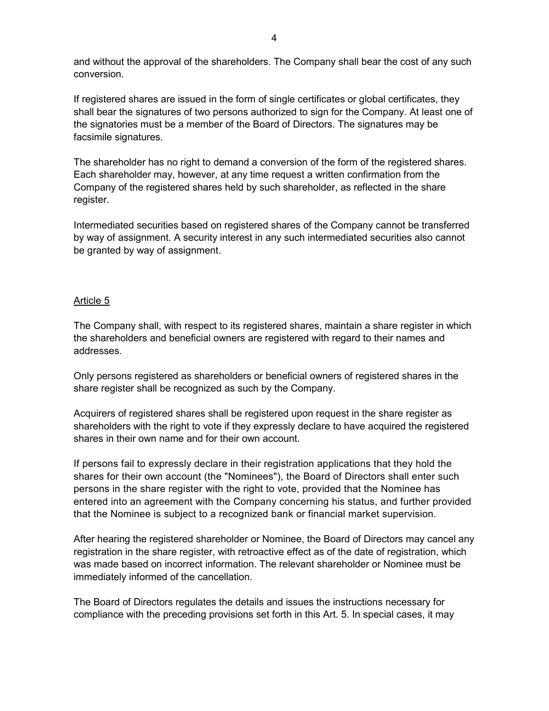and without the approval of the shareholders. The Company shall bear the cost of any such conversion.

If registered shares are issued in the form of single certificates or global certificates, they shall bear the signatures of two persons authorized to sign for the Company. At least one of the signatories must be a member of the Board of Directors. The signatures may be facsimile signatures.

The shareholder has no right to demand a conversion of the form of the registered shares. Each shareholder may, however, at any time request a written confirmation from the Company of the registered shares held by such shareholder, as reflected in the share register.

Intermediated securities based on registered shares of the Company cannot be transferred by way of assignment. A security interest in any such intermediated securities also cannot be granted by way of assignment.

# Article 5

The Company shall, with respect to its registered shares, maintain a share register in which the shareholders and beneficial owners are registered with regard to their names and addresses.

Only persons registered as shareholders or beneficial owners of registered shares in the share register shall be recognized as such by the Company.

Acquirers of registered shares shall be registered upon request in the share register as shareholders with the right to vote if they expressly declare to have acquired the registered shares in their own name and for their own account.

If persons fail to expressly declare in their registration applications that they hold the shares for their own account (the "Nominees"), the Board of Directors shall enter such persons in the share register with the right to vote, provided that the Nominee has entered into an agreement with the Company concerning his status, and further provided that the Nominee is subject to a recognized bank or financial market supervision.

After hearing the registered shareholder or Nominee, the Board of Directors may cancel any registration in the share register, with retroactive effect as of the date of registration, which was made based on incorrect information. The relevant shareholder or Nominee must be immediately informed of the cancellation.

The Board of Directors regulates the details and issues the instructions necessary for compliance with the preceding provisions set forth in this Art. 5. In special cases, it may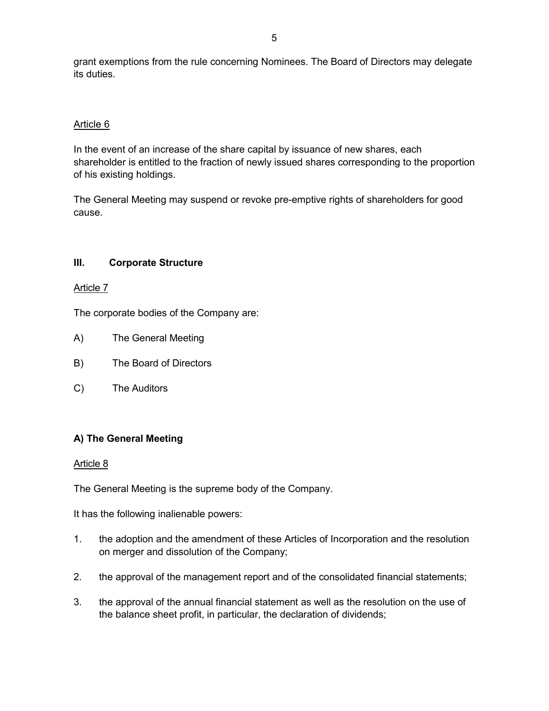grant exemptions from the rule concerning Nominees. The Board of Directors may delegate its duties.

# Article 6

In the event of an increase of the share capital by issuance of new shares, each shareholder is entitled to the fraction of newly issued shares corresponding to the proportion of his existing holdings.

The General Meeting may suspend or revoke pre-emptive rights of shareholders for good cause.

# **III. Corporate Structure**

# Article 7

The corporate bodies of the Company are:

- A) The General Meeting
- B) The Board of Directors
- C) The Auditors

# **A) The General Meeting**

# Article 8

The General Meeting is the supreme body of the Company.

It has the following inalienable powers:

- 1. the adoption and the amendment of these Articles of Incorporation and the resolution on merger and dissolution of the Company;
- 2. the approval of the management report and of the consolidated financial statements;
- 3. the approval of the annual financial statement as well as the resolution on the use of the balance sheet profit, in particular, the declaration of dividends;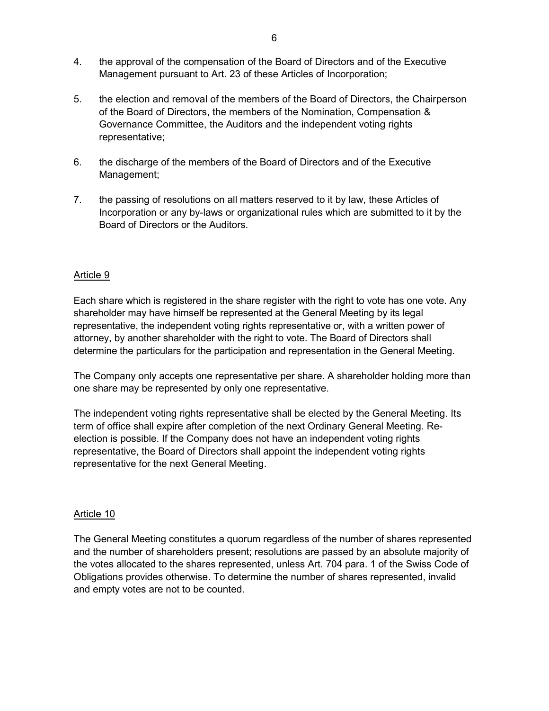- 4. the approval of the compensation of the Board of Directors and of the Executive Management pursuant to Art. 23 of these Articles of Incorporation;
- 5. the election and removal of the members of the Board of Directors, the Chairperson of the Board of Directors, the members of the Nomination, Compensation & Governance Committee, the Auditors and the independent voting rights representative;
- 6. the discharge of the members of the Board of Directors and of the Executive Management;
- 7. the passing of resolutions on all matters reserved to it by law, these Articles of Incorporation or any by-laws or organizational rules which are submitted to it by the Board of Directors or the Auditors.

# Article 9

Each share which is registered in the share register with the right to vote has one vote. Any shareholder may have himself be represented at the General Meeting by its legal representative, the independent voting rights representative or, with a written power of attorney, by another shareholder with the right to vote. The Board of Directors shall determine the particulars for the participation and representation in the General Meeting.

The Company only accepts one representative per share. A shareholder holding more than one share may be represented by only one representative.

The independent voting rights representative shall be elected by the General Meeting. Its term of office shall expire after completion of the next Ordinary General Meeting. Reelection is possible. If the Company does not have an independent voting rights representative, the Board of Directors shall appoint the independent voting rights representative for the next General Meeting.

#### Article 10

The General Meeting constitutes a quorum regardless of the number of shares represented and the number of shareholders present; resolutions are passed by an absolute majority of the votes allocated to the shares represented, unless Art. 704 para. 1 of the Swiss Code of Obligations provides otherwise. To determine the number of shares represented, invalid and empty votes are not to be counted.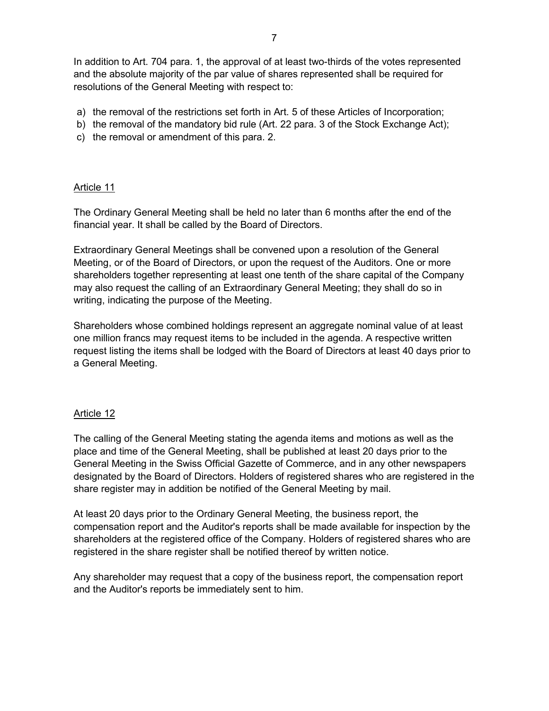In addition to Art. 704 para. 1, the approval of at least two-thirds of the votes represented and the absolute majority of the par value of shares represented shall be required for resolutions of the General Meeting with respect to:

- a) the removal of the restrictions set forth in Art. 5 of these Articles of Incorporation;
- b) the removal of the mandatory bid rule (Art. 22 para. 3 of the Stock Exchange Act);
- c) the removal or amendment of this para. 2.

#### Article 11

The Ordinary General Meeting shall be held no later than 6 months after the end of the financial year. It shall be called by the Board of Directors.

Extraordinary General Meetings shall be convened upon a resolution of the General Meeting, or of the Board of Directors, or upon the request of the Auditors. One or more shareholders together representing at least one tenth of the share capital of the Company may also request the calling of an Extraordinary General Meeting; they shall do so in writing, indicating the purpose of the Meeting.

Shareholders whose combined holdings represent an aggregate nominal value of at least one million francs may request items to be included in the agenda. A respective written request listing the items shall be lodged with the Board of Directors at least 40 days prior to a General Meeting.

#### Article 12

The calling of the General Meeting stating the agenda items and motions as well as the place and time of the General Meeting, shall be published at least 20 days prior to the General Meeting in the Swiss Official Gazette of Commerce, and in any other newspapers designated by the Board of Directors. Holders of registered shares who are registered in the share register may in addition be notified of the General Meeting by mail.

At least 20 days prior to the Ordinary General Meeting, the business report, the compensation report and the Auditor's reports shall be made available for inspection by the shareholders at the registered office of the Company. Holders of registered shares who are registered in the share register shall be notified thereof by written notice.

Any shareholder may request that a copy of the business report, the compensation report and the Auditor's reports be immediately sent to him.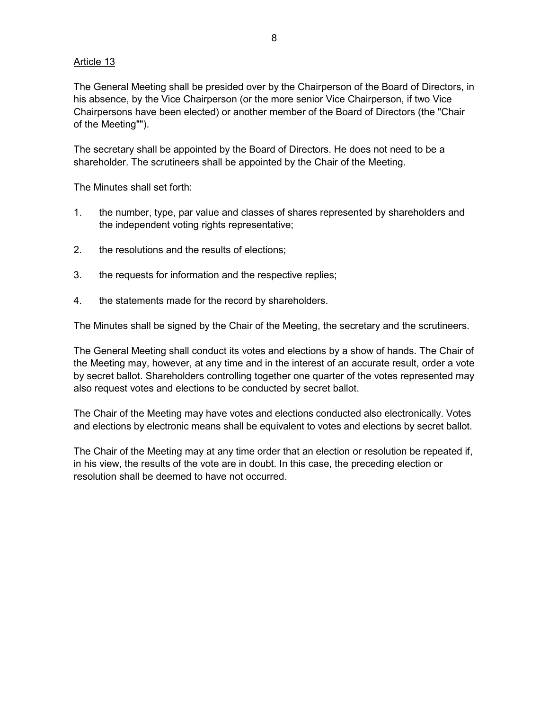# Article 13

The General Meeting shall be presided over by the Chairperson of the Board of Directors, in his absence, by the Vice Chairperson (or the more senior Vice Chairperson, if two Vice Chairpersons have been elected) or another member of the Board of Directors (the "Chair of the Meeting"").

The secretary shall be appointed by the Board of Directors. He does not need to be a shareholder. The scrutineers shall be appointed by the Chair of the Meeting.

The Minutes shall set forth:

- 1. the number, type, par value and classes of shares represented by shareholders and the independent voting rights representative;
- 2. the resolutions and the results of elections;
- 3. the requests for information and the respective replies;
- 4. the statements made for the record by shareholders.

The Minutes shall be signed by the Chair of the Meeting, the secretary and the scrutineers.

The General Meeting shall conduct its votes and elections by a show of hands. The Chair of the Meeting may, however, at any time and in the interest of an accurate result, order a vote by secret ballot. Shareholders controlling together one quarter of the votes represented may also request votes and elections to be conducted by secret ballot.

The Chair of the Meeting may have votes and elections conducted also electronically. Votes and elections by electronic means shall be equivalent to votes and elections by secret ballot.

The Chair of the Meeting may at any time order that an election or resolution be repeated if, in his view, the results of the vote are in doubt. In this case, the preceding election or resolution shall be deemed to have not occurred.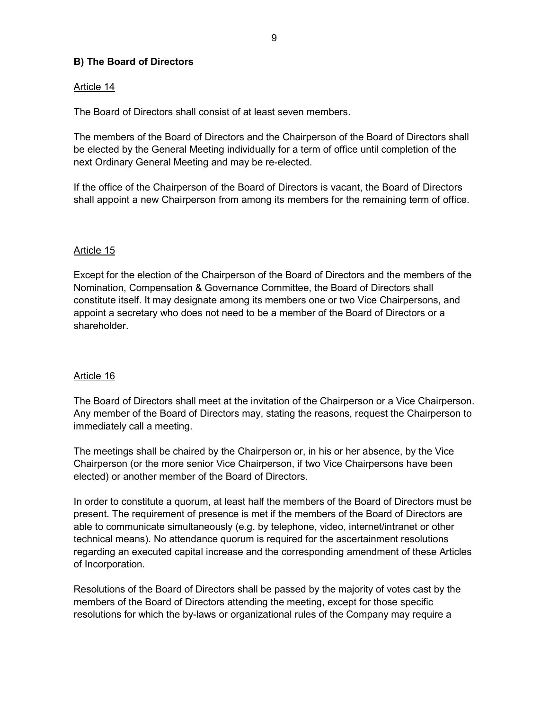# **B) The Board of Directors**

# Article 14

The Board of Directors shall consist of at least seven members.

The members of the Board of Directors and the Chairperson of the Board of Directors shall be elected by the General Meeting individually for a term of office until completion of the next Ordinary General Meeting and may be re-elected.

If the office of the Chairperson of the Board of Directors is vacant, the Board of Directors shall appoint a new Chairperson from among its members for the remaining term of office.

# Article 15

Except for the election of the Chairperson of the Board of Directors and the members of the Nomination, Compensation & Governance Committee, the Board of Directors shall constitute itself. It may designate among its members one or two Vice Chairpersons, and appoint a secretary who does not need to be a member of the Board of Directors or a shareholder.

# Article 16

The Board of Directors shall meet at the invitation of the Chairperson or a Vice Chairperson. Any member of the Board of Directors may, stating the reasons, request the Chairperson to immediately call a meeting.

The meetings shall be chaired by the Chairperson or, in his or her absence, by the Vice Chairperson (or the more senior Vice Chairperson, if two Vice Chairpersons have been elected) or another member of the Board of Directors.

In order to constitute a quorum, at least half the members of the Board of Directors must be present. The requirement of presence is met if the members of the Board of Directors are able to communicate simultaneously (e.g. by telephone, video, internet/intranet or other technical means). No attendance quorum is required for the ascertainment resolutions regarding an executed capital increase and the corresponding amendment of these Articles of Incorporation.

Resolutions of the Board of Directors shall be passed by the majority of votes cast by the members of the Board of Directors attending the meeting, except for those specific resolutions for which the by-laws or organizational rules of the Company may require a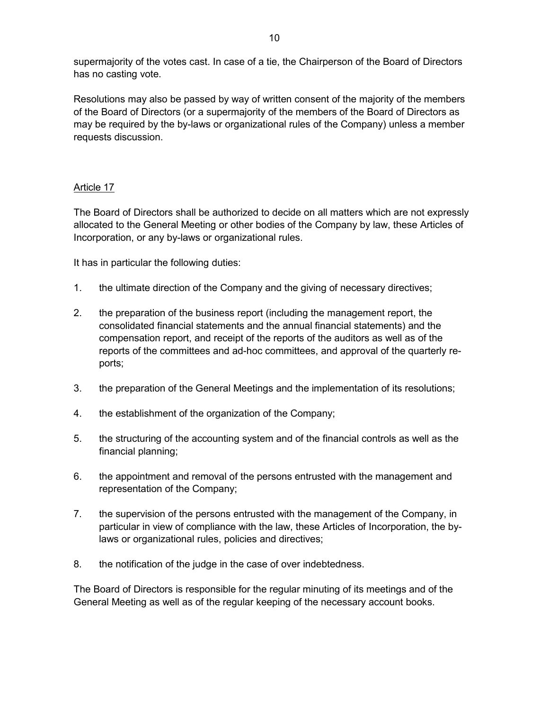supermajority of the votes cast. In case of a tie, the Chairperson of the Board of Directors has no casting vote.

Resolutions may also be passed by way of written consent of the majority of the members of the Board of Directors (or a supermajority of the members of the Board of Directors as may be required by the by-laws or organizational rules of the Company) unless a member requests discussion.

# Article 17

The Board of Directors shall be authorized to decide on all matters which are not expressly allocated to the General Meeting or other bodies of the Company by law, these Articles of Incorporation, or any by-laws or organizational rules.

It has in particular the following duties:

- 1. the ultimate direction of the Company and the giving of necessary directives;
- 2. the preparation of the business report (including the management report, the consolidated financial statements and the annual financial statements) and the compensation report, and receipt of the reports of the auditors as well as of the reports of the committees and ad-hoc committees, and approval of the quarterly reports;
- 3. the preparation of the General Meetings and the implementation of its resolutions;
- 4. the establishment of the organization of the Company;
- 5. the structuring of the accounting system and of the financial controls as well as the financial planning;
- 6. the appointment and removal of the persons entrusted with the management and representation of the Company;
- 7. the supervision of the persons entrusted with the management of the Company, in particular in view of compliance with the law, these Articles of Incorporation, the bylaws or organizational rules, policies and directives;
- 8. the notification of the judge in the case of over indebtedness.

The Board of Directors is responsible for the regular minuting of its meetings and of the General Meeting as well as of the regular keeping of the necessary account books.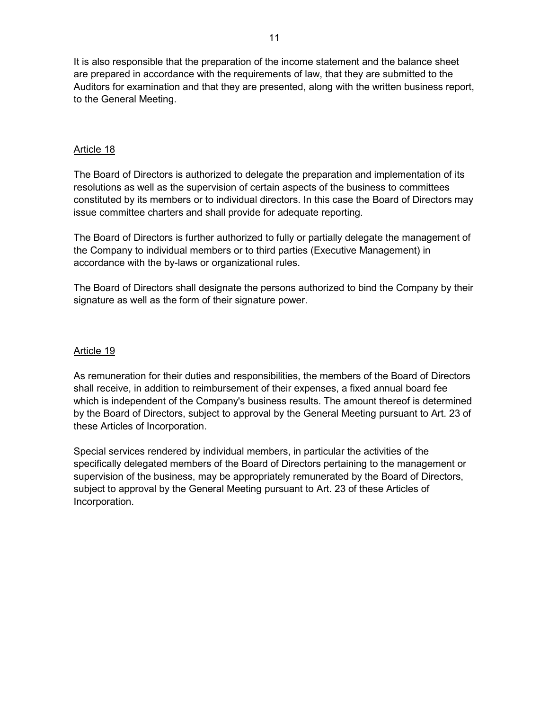It is also responsible that the preparation of the income statement and the balance sheet are prepared in accordance with the requirements of law, that they are submitted to the Auditors for examination and that they are presented, along with the written business report, to the General Meeting.

# Article 18

The Board of Directors is authorized to delegate the preparation and implementation of its resolutions as well as the supervision of certain aspects of the business to committees constituted by its members or to individual directors. In this case the Board of Directors may issue committee charters and shall provide for adequate reporting.

The Board of Directors is further authorized to fully or partially delegate the management of the Company to individual members or to third parties (Executive Management) in accordance with the by-laws or organizational rules.

The Board of Directors shall designate the persons authorized to bind the Company by their signature as well as the form of their signature power.

#### Article 19

As remuneration for their duties and responsibilities, the members of the Board of Directors shall receive, in addition to reimbursement of their expenses, a fixed annual board fee which is independent of the Company's business results. The amount thereof is determined by the Board of Directors, subject to approval by the General Meeting pursuant to Art. 23 of these Articles of Incorporation.

Special services rendered by individual members, in particular the activities of the specifically delegated members of the Board of Directors pertaining to the management or supervision of the business, may be appropriately remunerated by the Board of Directors, subject to approval by the General Meeting pursuant to Art. 23 of these Articles of Incorporation.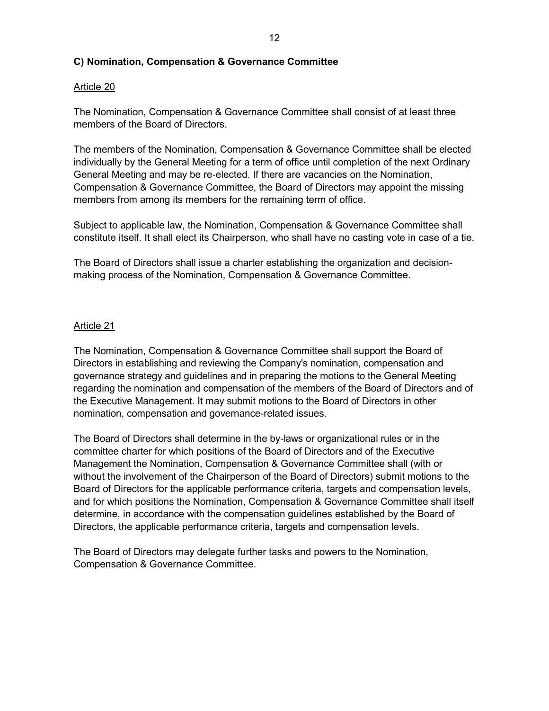# **C) Nomination, Compensation & Governance Committee**

# Article 20

The Nomination, Compensation & Governance Committee shall consist of at least three members of the Board of Directors.

The members of the Nomination, Compensation & Governance Committee shall be elected individually by the General Meeting for a term of office until completion of the next Ordinary General Meeting and may be re-elected. If there are vacancies on the Nomination, Compensation & Governance Committee, the Board of Directors may appoint the missing members from among its members for the remaining term of office.

Subject to applicable law, the Nomination, Compensation & Governance Committee shall constitute itself. It shall elect its Chairperson, who shall have no casting vote in case of a tie.

The Board of Directors shall issue a charter establishing the organization and decisionmaking process of the Nomination, Compensation & Governance Committee.

# Article 21

The Nomination, Compensation & Governance Committee shall support the Board of Directors in establishing and reviewing the Company's nomination, compensation and governance strategy and guidelines and in preparing the motions to the General Meeting regarding the nomination and compensation of the members of the Board of Directors and of the Executive Management. It may submit motions to the Board of Directors in other nomination, compensation and governance-related issues.

The Board of Directors shall determine in the by-laws or organizational rules or in the committee charter for which positions of the Board of Directors and of the Executive Management the Nomination, Compensation & Governance Committee shall (with or without the involvement of the Chairperson of the Board of Directors) submit motions to the Board of Directors for the applicable performance criteria, targets and compensation levels, and for which positions the Nomination, Compensation & Governance Committee shall itself determine, in accordance with the compensation guidelines established by the Board of Directors, the applicable performance criteria, targets and compensation levels.

The Board of Directors may delegate further tasks and powers to the Nomination, Compensation & Governance Committee.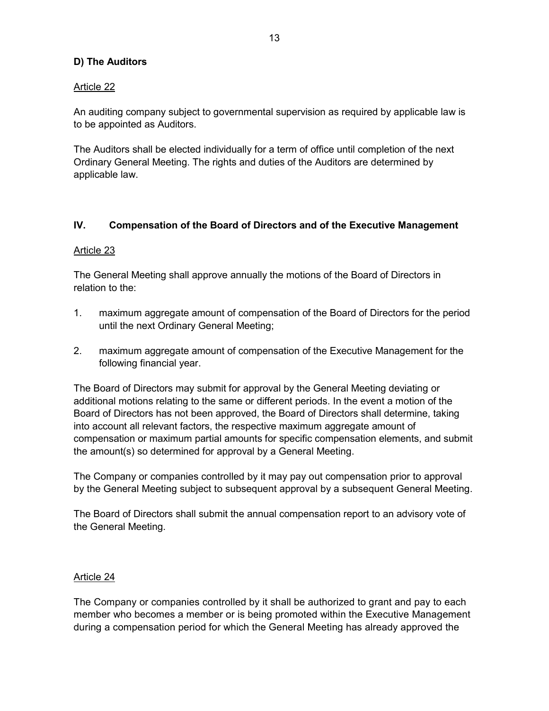# **D) The Auditors**

# Article 22

An auditing company subject to governmental supervision as required by applicable law is to be appointed as Auditors.

The Auditors shall be elected individually for a term of office until completion of the next Ordinary General Meeting. The rights and duties of the Auditors are determined by applicable law.

# **IV. Compensation of the Board of Directors and of the Executive Management**

# Article 23

The General Meeting shall approve annually the motions of the Board of Directors in relation to the:

- 1. maximum aggregate amount of compensation of the Board of Directors for the period until the next Ordinary General Meeting;
- 2. maximum aggregate amount of compensation of the Executive Management for the following financial year.

The Board of Directors may submit for approval by the General Meeting deviating or additional motions relating to the same or different periods. In the event a motion of the Board of Directors has not been approved, the Board of Directors shall determine, taking into account all relevant factors, the respective maximum aggregate amount of compensation or maximum partial amounts for specific compensation elements, and submit the amount(s) so determined for approval by a General Meeting.

The Company or companies controlled by it may pay out compensation prior to approval by the General Meeting subject to subsequent approval by a subsequent General Meeting.

The Board of Directors shall submit the annual compensation report to an advisory vote of the General Meeting.

# Article 24

The Company or companies controlled by it shall be authorized to grant and pay to each member who becomes a member or is being promoted within the Executive Management during a compensation period for which the General Meeting has already approved the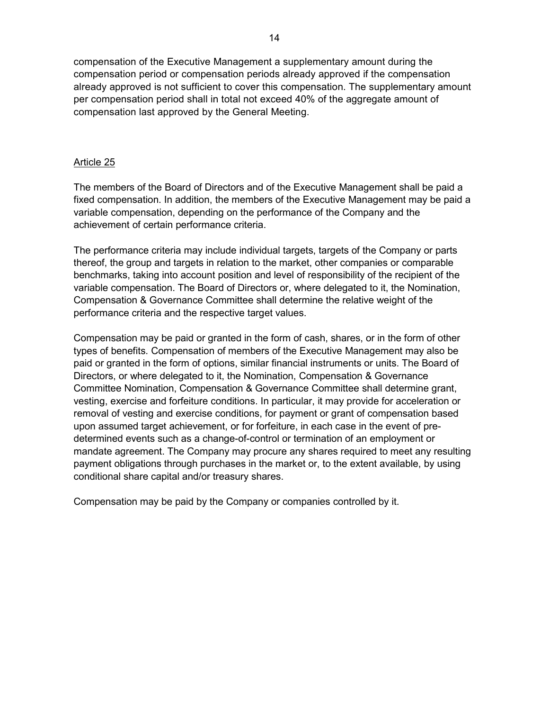compensation of the Executive Management a supplementary amount during the compensation period or compensation periods already approved if the compensation already approved is not sufficient to cover this compensation. The supplementary amount per compensation period shall in total not exceed 40% of the aggregate amount of compensation last approved by the General Meeting.

#### Article 25

The members of the Board of Directors and of the Executive Management shall be paid a fixed compensation. In addition, the members of the Executive Management may be paid a variable compensation, depending on the performance of the Company and the achievement of certain performance criteria.

The performance criteria may include individual targets, targets of the Company or parts thereof, the group and targets in relation to the market, other companies or comparable benchmarks, taking into account position and level of responsibility of the recipient of the variable compensation. The Board of Directors or, where delegated to it, the Nomination, Compensation & Governance Committee shall determine the relative weight of the performance criteria and the respective target values.

Compensation may be paid or granted in the form of cash, shares, or in the form of other types of benefits. Compensation of members of the Executive Management may also be paid or granted in the form of options, similar financial instruments or units. The Board of Directors, or where delegated to it, the Nomination, Compensation & Governance Committee Nomination, Compensation & Governance Committee shall determine grant, vesting, exercise and forfeiture conditions. In particular, it may provide for acceleration or removal of vesting and exercise conditions, for payment or grant of compensation based upon assumed target achievement, or for forfeiture, in each case in the event of predetermined events such as a change-of-control or termination of an employment or mandate agreement. The Company may procure any shares required to meet any resulting payment obligations through purchases in the market or, to the extent available, by using conditional share capital and/or treasury shares.

Compensation may be paid by the Company or companies controlled by it.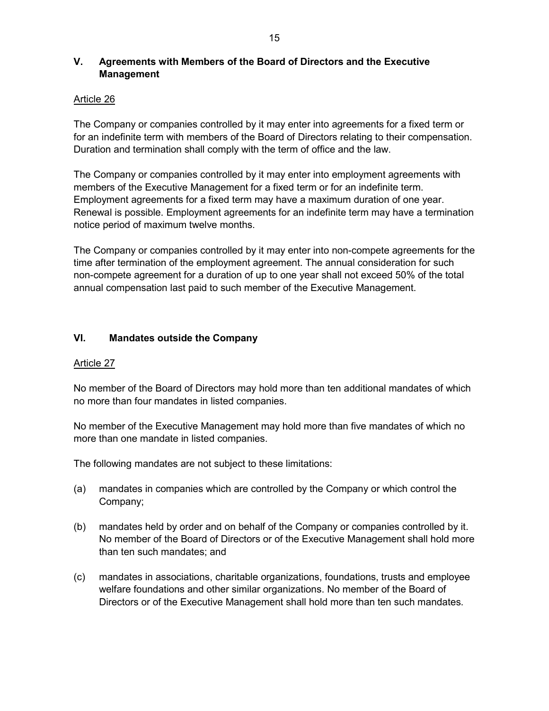# **V. Agreements with Members of the Board of Directors and the Executive Management**

# Article 26

The Company or companies controlled by it may enter into agreements for a fixed term or for an indefinite term with members of the Board of Directors relating to their compensation. Duration and termination shall comply with the term of office and the law.

The Company or companies controlled by it may enter into employment agreements with members of the Executive Management for a fixed term or for an indefinite term. Employment agreements for a fixed term may have a maximum duration of one year. Renewal is possible. Employment agreements for an indefinite term may have a termination notice period of maximum twelve months.

The Company or companies controlled by it may enter into non-compete agreements for the time after termination of the employment agreement. The annual consideration for such non-compete agreement for a duration of up to one year shall not exceed 50% of the total annual compensation last paid to such member of the Executive Management.

# **VI. Mandates outside the Company**

# Article 27

No member of the Board of Directors may hold more than ten additional mandates of which no more than four mandates in listed companies.

No member of the Executive Management may hold more than five mandates of which no more than one mandate in listed companies.

The following mandates are not subject to these limitations:

- (a) mandates in companies which are controlled by the Company or which control the Company;
- (b) mandates held by order and on behalf of the Company or companies controlled by it. No member of the Board of Directors or of the Executive Management shall hold more than ten such mandates; and
- (c) mandates in associations, charitable organizations, foundations, trusts and employee welfare foundations and other similar organizations. No member of the Board of Directors or of the Executive Management shall hold more than ten such mandates.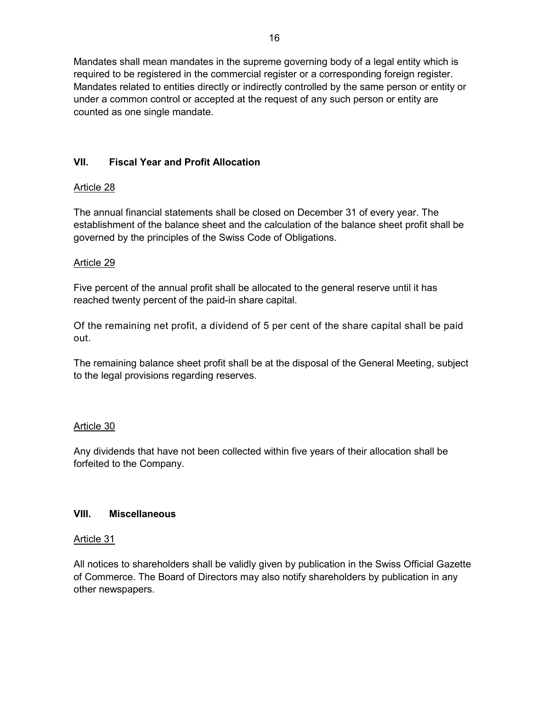Mandates shall mean mandates in the supreme governing body of a legal entity which is required to be registered in the commercial register or a corresponding foreign register. Mandates related to entities directly or indirectly controlled by the same person or entity or under a common control or accepted at the request of any such person or entity are counted as one single mandate.

# **VII. Fiscal Year and Profit Allocation**

# Article 28

The annual financial statements shall be closed on December 31 of every year. The establishment of the balance sheet and the calculation of the balance sheet profit shall be governed by the principles of the Swiss Code of Obligations.

# Article 29

Five percent of the annual profit shall be allocated to the general reserve until it has reached twenty percent of the paid-in share capital.

Of the remaining net profit, a dividend of 5 per cent of the share capital shall be paid out.

The remaining balance sheet profit shall be at the disposal of the General Meeting, subject to the legal provisions regarding reserves.

# Article 30

Any dividends that have not been collected within five years of their allocation shall be forfeited to the Company.

# **VIII. Miscellaneous**

# Article 31

All notices to shareholders shall be validly given by publication in the Swiss Official Gazette of Commerce. The Board of Directors may also notify shareholders by publication in any other newspapers.